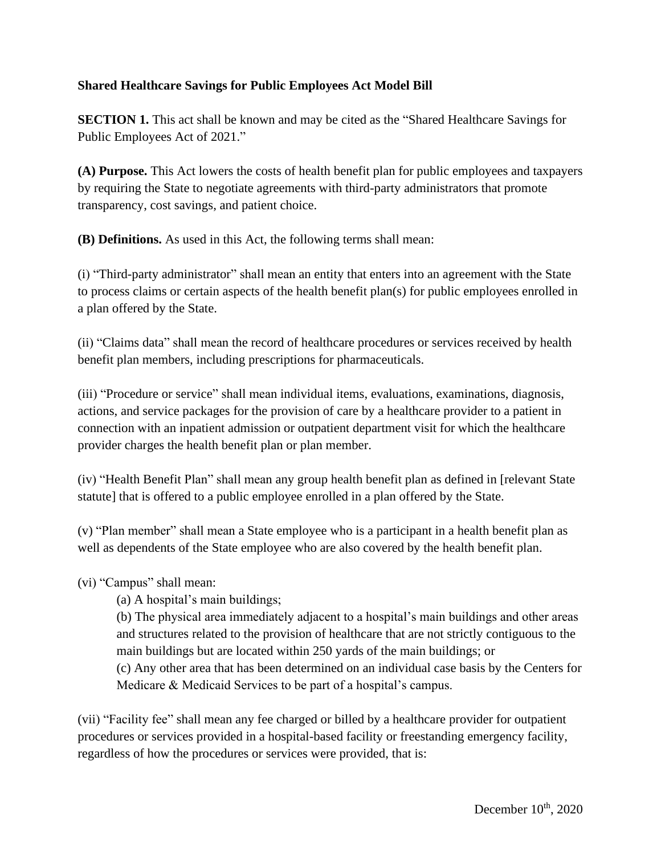## **Shared Healthcare Savings for Public Employees Act Model Bill**

**SECTION 1.** This act shall be known and may be cited as the "Shared Healthcare Savings for Public Employees Act of 2021."

**(A) Purpose.** This Act lowers the costs of health benefit plan for public employees and taxpayers by requiring the State to negotiate agreements with third-party administrators that promote transparency, cost savings, and patient choice.

**(B) Definitions.** As used in this Act, the following terms shall mean:

(i) "Third-party administrator" shall mean an entity that enters into an agreement with the State to process claims or certain aspects of the health benefit plan(s) for public employees enrolled in a plan offered by the State.

(ii) "Claims data" shall mean the record of healthcare procedures or services received by health benefit plan members, including prescriptions for pharmaceuticals.

(iii) "Procedure or service" shall mean individual items, evaluations, examinations, diagnosis, actions, and service packages for the provision of care by a healthcare provider to a patient in connection with an inpatient admission or outpatient department visit for which the healthcare provider charges the health benefit plan or plan member.

(iv) "Health Benefit Plan" shall mean any group health benefit plan as defined in [relevant State statute] that is offered to a public employee enrolled in a plan offered by the State.

(v) "Plan member" shall mean a State employee who is a participant in a health benefit plan as well as dependents of the State employee who are also covered by the health benefit plan.

(vi) "Campus" shall mean:

(a) A hospital's main buildings;

(b) The physical area immediately adjacent to a hospital's main buildings and other areas and structures related to the provision of healthcare that are not strictly contiguous to the main buildings but are located within 250 yards of the main buildings; or

(c) Any other area that has been determined on an individual case basis by the Centers for Medicare & Medicaid Services to be part of a hospital's campus.

(vii) "Facility fee" shall mean any fee charged or billed by a healthcare provider for outpatient procedures or services provided in a hospital-based facility or freestanding emergency facility, regardless of how the procedures or services were provided, that is: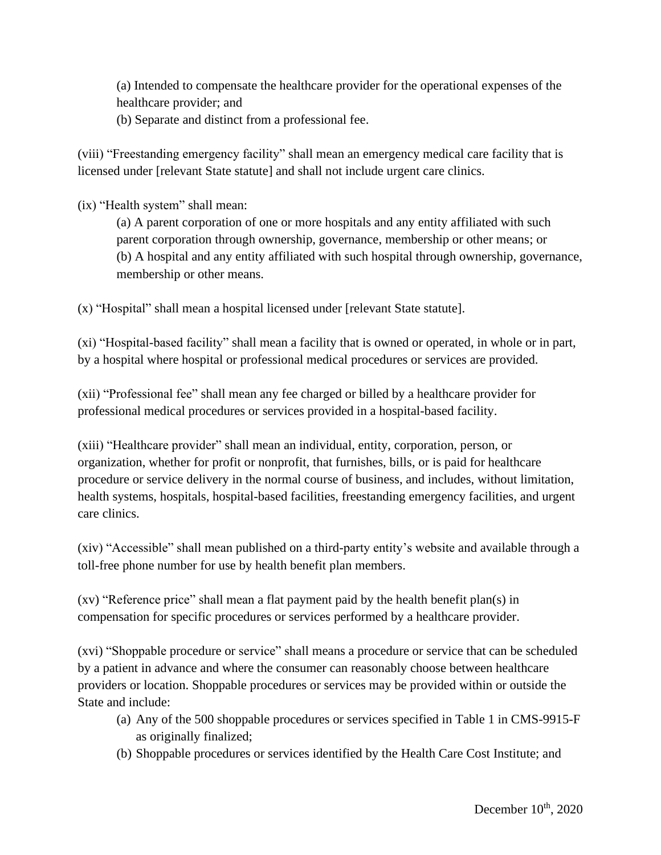(a) Intended to compensate the healthcare provider for the operational expenses of the healthcare provider; and

(b) Separate and distinct from a professional fee.

(viii) "Freestanding emergency facility" shall mean an emergency medical care facility that is licensed under [relevant State statute] and shall not include urgent care clinics.

(ix) "Health system" shall mean:

(a) A parent corporation of one or more hospitals and any entity affiliated with such parent corporation through ownership, governance, membership or other means; or (b) A hospital and any entity affiliated with such hospital through ownership, governance, membership or other means.

(x) "Hospital" shall mean a hospital licensed under [relevant State statute].

(xi) "Hospital-based facility" shall mean a facility that is owned or operated, in whole or in part, by a hospital where hospital or professional medical procedures or services are provided.

(xii) "Professional fee" shall mean any fee charged or billed by a healthcare provider for professional medical procedures or services provided in a hospital-based facility.

(xiii) "Healthcare provider" shall mean an individual, entity, corporation, person, or organization, whether for profit or nonprofit, that furnishes, bills, or is paid for healthcare procedure or service delivery in the normal course of business, and includes, without limitation, health systems, hospitals, hospital-based facilities, freestanding emergency facilities, and urgent care clinics.

(xiv) "Accessible" shall mean published on a third-party entity's website and available through a toll-free phone number for use by health benefit plan members.

(xv) "Reference price" shall mean a flat payment paid by the health benefit plan(s) in compensation for specific procedures or services performed by a healthcare provider.

(xvi) "Shoppable procedure or service" shall means a procedure or service that can be scheduled by a patient in advance and where the consumer can reasonably choose between healthcare providers or location. Shoppable procedures or services may be provided within or outside the State and include:

- (a) Any of the 500 shoppable procedures or services specified in Table 1 in CMS-9915-F as originally finalized;
- (b) Shoppable procedures or services identified by the Health Care Cost Institute; and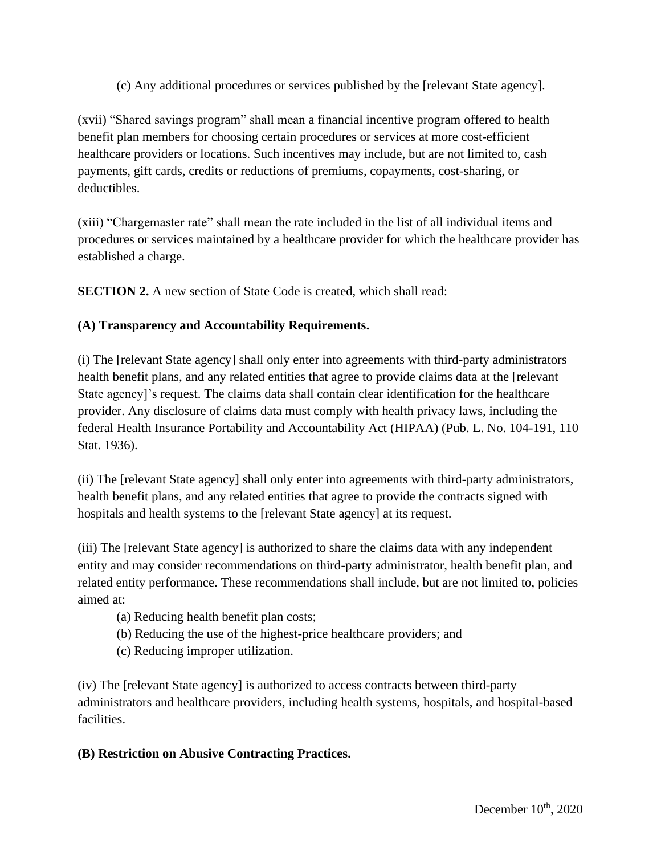(c) Any additional procedures or services published by the [relevant State agency].

(xvii) "Shared savings program" shall mean a financial incentive program offered to health benefit plan members for choosing certain procedures or services at more cost-efficient healthcare providers or locations. Such incentives may include, but are not limited to, cash payments, gift cards, credits or reductions of premiums, copayments, cost-sharing, or deductibles.

(xiii) "Chargemaster rate" shall mean the rate included in the list of all individual items and procedures or services maintained by a healthcare provider for which the healthcare provider has established a charge.

**SECTION 2.** A new section of State Code is created, which shall read:

## **(A) Transparency and Accountability Requirements.**

(i) The [relevant State agency] shall only enter into agreements with third-party administrators health benefit plans, and any related entities that agree to provide claims data at the [relevant State agency]'s request. The claims data shall contain clear identification for the healthcare provider. Any disclosure of claims data must comply with health privacy laws, including the federal Health Insurance Portability and Accountability Act (HIPAA) (Pub. L. No. 104-191, 110 Stat. 1936).

(ii) The [relevant State agency] shall only enter into agreements with third-party administrators, health benefit plans, and any related entities that agree to provide the contracts signed with hospitals and health systems to the [relevant State agency] at its request.

(iii) The [relevant State agency] is authorized to share the claims data with any independent entity and may consider recommendations on third-party administrator, health benefit plan, and related entity performance. These recommendations shall include, but are not limited to, policies aimed at:

- (a) Reducing health benefit plan costs;
- (b) Reducing the use of the highest-price healthcare providers; and
- (c) Reducing improper utilization.

(iv) The [relevant State agency] is authorized to access contracts between third-party administrators and healthcare providers, including health systems, hospitals, and hospital-based facilities.

## **(B) Restriction on Abusive Contracting Practices.**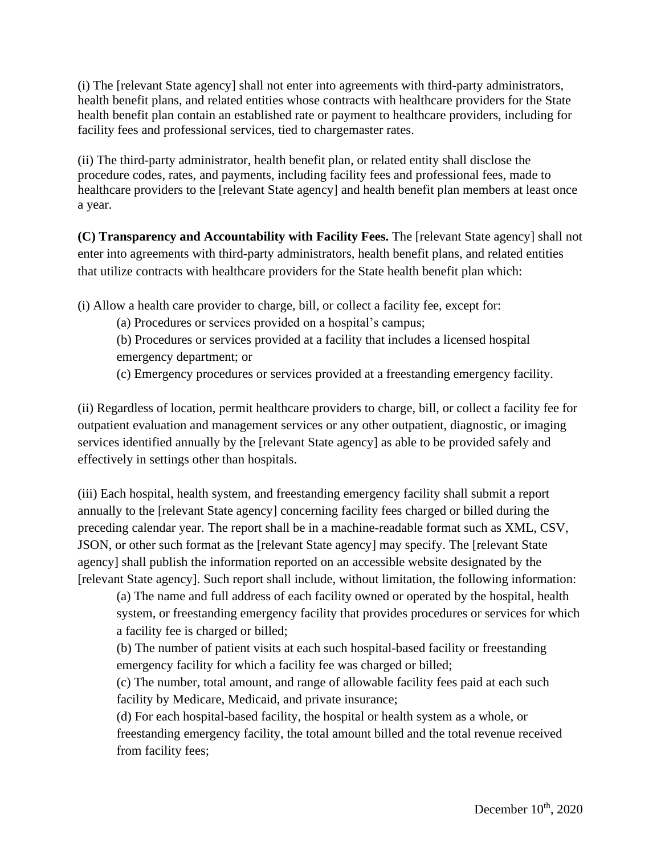(i) The [relevant State agency] shall not enter into agreements with third-party administrators, health benefit plans, and related entities whose contracts with healthcare providers for the State health benefit plan contain an established rate or payment to healthcare providers, including for facility fees and professional services, tied to chargemaster rates.

(ii) The third-party administrator, health benefit plan, or related entity shall disclose the procedure codes, rates, and payments, including facility fees and professional fees, made to healthcare providers to the [relevant State agency] and health benefit plan members at least once a year.

**(C) Transparency and Accountability with Facility Fees.** The [relevant State agency] shall not enter into agreements with third-party administrators, health benefit plans, and related entities that utilize contracts with healthcare providers for the State health benefit plan which:

(i) Allow a health care provider to charge, bill, or collect a facility fee, except for:

(a) Procedures or services provided on a hospital's campus;

(b) Procedures or services provided at a facility that includes a licensed hospital emergency department; or

(c) Emergency procedures or services provided at a freestanding emergency facility.

(ii) Regardless of location, permit healthcare providers to charge, bill, or collect a facility fee for outpatient evaluation and management services or any other outpatient, diagnostic, or imaging services identified annually by the [relevant State agency] as able to be provided safely and effectively in settings other than hospitals.

(iii) Each hospital, health system, and freestanding emergency facility shall submit a report annually to the [relevant State agency] concerning facility fees charged or billed during the preceding calendar year. The report shall be in a machine-readable format such as XML, CSV, JSON, or other such format as the [relevant State agency] may specify. The [relevant State agency] shall publish the information reported on an accessible website designated by the [relevant State agency]. Such report shall include, without limitation, the following information:

(a) The name and full address of each facility owned or operated by the hospital, health system, or freestanding emergency facility that provides procedures or services for which a facility fee is charged or billed;

(b) The number of patient visits at each such hospital-based facility or freestanding emergency facility for which a facility fee was charged or billed;

(c) The number, total amount, and range of allowable facility fees paid at each such facility by Medicare, Medicaid, and private insurance;

(d) For each hospital-based facility, the hospital or health system as a whole, or freestanding emergency facility, the total amount billed and the total revenue received from facility fees;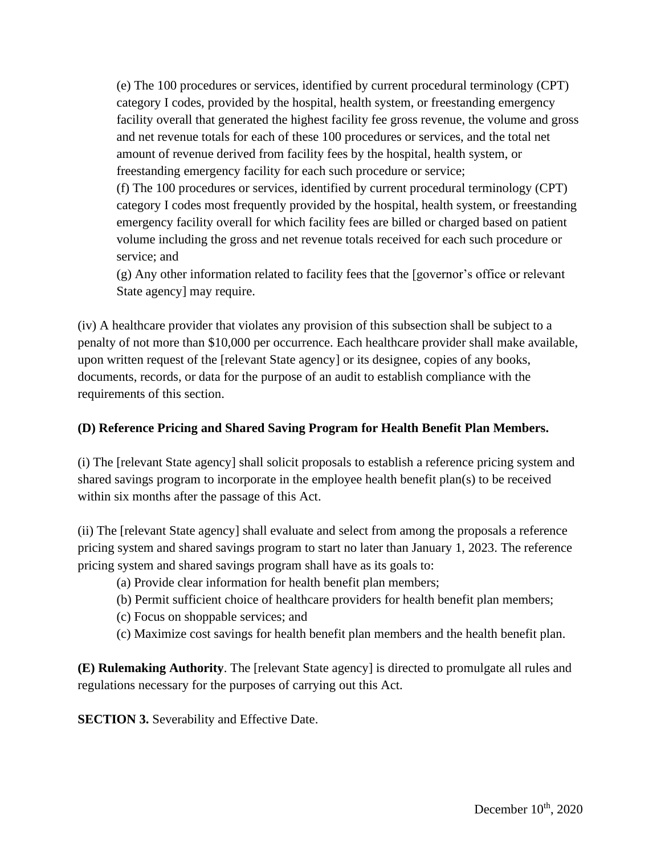(e) The 100 procedures or services, identified by current procedural terminology (CPT) category I codes, provided by the hospital, health system, or freestanding emergency facility overall that generated the highest facility fee gross revenue, the volume and gross and net revenue totals for each of these 100 procedures or services, and the total net amount of revenue derived from facility fees by the hospital, health system, or freestanding emergency facility for each such procedure or service; (f) The 100 procedures or services, identified by current procedural terminology (CPT) category I codes most frequently provided by the hospital, health system, or freestanding emergency facility overall for which facility fees are billed or charged based on patient volume including the gross and net revenue totals received for each such procedure or service; and

(g) Any other information related to facility fees that the [governor's office or relevant State agency] may require.

(iv) A healthcare provider that violates any provision of this subsection shall be subject to a penalty of not more than \$10,000 per occurrence. Each healthcare provider shall make available, upon written request of the [relevant State agency] or its designee, copies of any books, documents, records, or data for the purpose of an audit to establish compliance with the requirements of this section.

## **(D) Reference Pricing and Shared Saving Program for Health Benefit Plan Members.**

(i) The [relevant State agency] shall solicit proposals to establish a reference pricing system and shared savings program to incorporate in the employee health benefit plan(s) to be received within six months after the passage of this Act.

(ii) The [relevant State agency] shall evaluate and select from among the proposals a reference pricing system and shared savings program to start no later than January 1, 2023. The reference pricing system and shared savings program shall have as its goals to:

- (a) Provide clear information for health benefit plan members;
- (b) Permit sufficient choice of healthcare providers for health benefit plan members;
- (c) Focus on shoppable services; and
- (c) Maximize cost savings for health benefit plan members and the health benefit plan.

**(E) Rulemaking Authority**. The [relevant State agency] is directed to promulgate all rules and regulations necessary for the purposes of carrying out this Act.

**SECTION 3.** Severability and Effective Date.